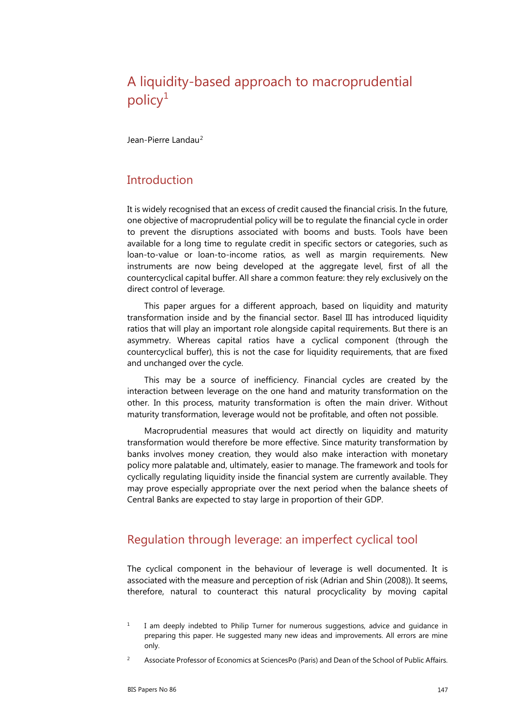# A liquidity-based approach to macroprudential policy $1$

Jean-Pierre Landau<sup>[2](#page-0-1)</sup>

#### **Introduction**

It is widely recognised that an excess of credit caused the financial crisis. In the future, one objective of macroprudential policy will be to regulate the financial cycle in order to prevent the disruptions associated with booms and busts. Tools have been available for a long time to regulate credit in specific sectors or categories, such as loan-to-value or loan-to-income ratios, as well as margin requirements. New instruments are now being developed at the aggregate level, first of all the countercyclical capital buffer. All share a common feature: they rely exclusively on the direct control of leverage.

This paper argues for a different approach, based on liquidity and maturity transformation inside and by the financial sector. Basel III has introduced liquidity ratios that will play an important role alongside capital requirements. But there is an asymmetry. Whereas capital ratios have a cyclical component (through the countercyclical buffer), this is not the case for liquidity requirements, that are fixed and unchanged over the cycle.

This may be a source of inefficiency. Financial cycles are created by the interaction between leverage on the one hand and maturity transformation on the other. In this process, maturity transformation is often the main driver. Without maturity transformation, leverage would not be profitable, and often not possible.

Macroprudential measures that would act directly on liquidity and maturity transformation would therefore be more effective. Since maturity transformation by banks involves money creation, they would also make interaction with monetary policy more palatable and, ultimately, easier to manage. The framework and tools for cyclically regulating liquidity inside the financial system are currently available. They may prove especially appropriate over the next period when the balance sheets of Central Banks are expected to stay large in proportion of their GDP.

# Regulation through leverage: an imperfect cyclical tool

The cyclical component in the behaviour of leverage is well documented. It is associated with the measure and perception of risk (Adrian and Shin (2008)). It seems, therefore, natural to counteract this natural procyclicality by moving capital

<span id="page-0-0"></span> $1$  I am deeply indebted to Philip Turner for numerous suggestions, advice and guidance in preparing this paper. He suggested many new ideas and improvements. All errors are mine only.

<span id="page-0-1"></span><sup>&</sup>lt;sup>2</sup> Associate Professor of Economics at SciencesPo (Paris) and Dean of the School of Public Affairs.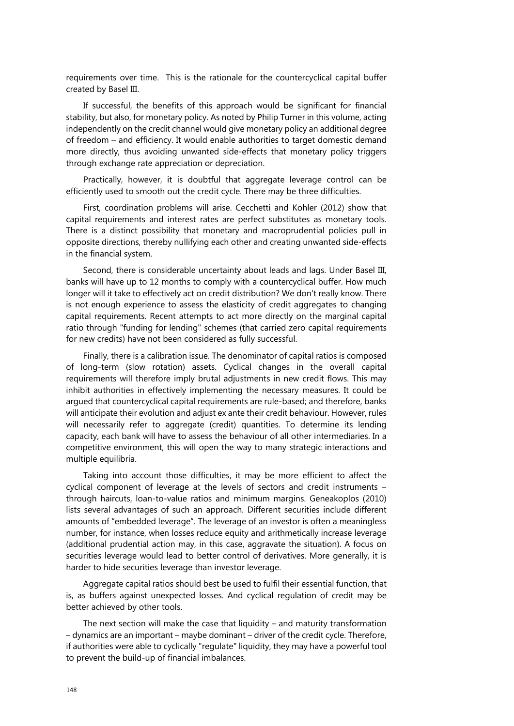requirements over time. This is the rationale for the countercyclical capital buffer created by Basel III.

If successful, the benefits of this approach would be significant for financial stability, but also, for monetary policy. As noted by Philip Turner in this volume, acting independently on the credit channel would give monetary policy an additional degree of freedom – and efficiency. It would enable authorities to target domestic demand more directly, thus avoiding unwanted side-effects that monetary policy triggers through exchange rate appreciation or depreciation.

Practically, however, it is doubtful that aggregate leverage control can be efficiently used to smooth out the credit cycle. There may be three difficulties.

First, coordination problems will arise. Cecchetti and Kohler (2012) show that capital requirements and interest rates are perfect substitutes as monetary tools. There is a distinct possibility that monetary and macroprudential policies pull in opposite directions, thereby nullifying each other and creating unwanted side-effects in the financial system.

Second, there is considerable uncertainty about leads and lags. Under Basel III, banks will have up to 12 months to comply with a countercyclical buffer. How much longer will it take to effectively act on credit distribution? We don't really know. There is not enough experience to assess the elasticity of credit aggregates to changing capital requirements. Recent attempts to act more directly on the marginal capital ratio through "funding for lending" schemes (that carried zero capital requirements for new credits) have not been considered as fully successful.

Finally, there is a calibration issue. The denominator of capital ratios is composed of long-term (slow rotation) assets. Cyclical changes in the overall capital requirements will therefore imply brutal adjustments in new credit flows. This may inhibit authorities in effectively implementing the necessary measures. It could be argued that countercyclical capital requirements are rule-based; and therefore, banks will anticipate their evolution and adjust ex ante their credit behaviour. However, rules will necessarily refer to aggregate (credit) quantities. To determine its lending capacity, each bank will have to assess the behaviour of all other intermediaries. In a competitive environment, this will open the way to many strategic interactions and multiple equilibria.

Taking into account those difficulties, it may be more efficient to affect the cyclical component of leverage at the levels of sectors and credit instruments through haircuts, loan-to-value ratios and minimum margins. Geneakoplos (2010) lists several advantages of such an approach. Different securities include different amounts of "embedded leverage". The leverage of an investor is often a meaningless number, for instance, when losses reduce equity and arithmetically increase leverage (additional prudential action may, in this case, aggravate the situation). A focus on securities leverage would lead to better control of derivatives. More generally, it is harder to hide securities leverage than investor leverage.

Aggregate capital ratios should best be used to fulfil their essential function, that is, as buffers against unexpected losses. And cyclical regulation of credit may be better achieved by other tools.

The next section will make the case that liquidity – and maturity transformation – dynamics are an important – maybe dominant – driver of the credit cycle. Therefore, if authorities were able to cyclically "regulate" liquidity, they may have a powerful tool to prevent the build-up of financial imbalances.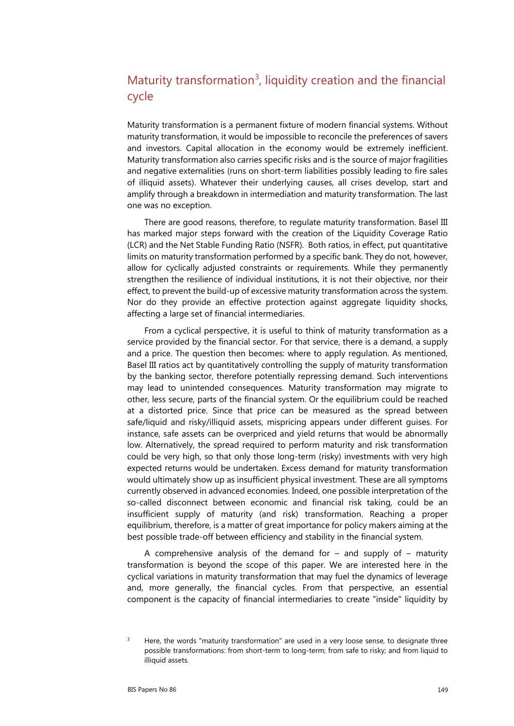# Maturity transformation<sup>[3](#page-2-0)</sup>, liquidity creation and the financial cycle

Maturity transformation is a permanent fixture of modern financial systems. Without maturity transformation, it would be impossible to reconcile the preferences of savers and investors. Capital allocation in the economy would be extremely inefficient. Maturity transformation also carries specific risks and is the source of major fragilities and negative externalities (runs on short-term liabilities possibly leading to fire sales of illiquid assets). Whatever their underlying causes, all crises develop, start and amplify through a breakdown in intermediation and maturity transformation. The last one was no exception.

There are good reasons, therefore, to regulate maturity transformation. Basel III has marked major steps forward with the creation of the Liquidity Coverage Ratio (LCR) and the Net Stable Funding Ratio (NSFR). Both ratios, in effect, put quantitative limits on maturity transformation performed by a specific bank. They do not, however, allow for cyclically adjusted constraints or requirements. While they permanently strengthen the resilience of individual institutions, it is not their objective, nor their effect, to prevent the build-up of excessive maturity transformation across the system. Nor do they provide an effective protection against aggregate liquidity shocks, affecting a large set of financial intermediaries.

From a cyclical perspective, it is useful to think of maturity transformation as a service provided by the financial sector. For that service, there is a demand, a supply and a price. The question then becomes: where to apply regulation. As mentioned, Basel III ratios act by quantitatively controlling the supply of maturity transformation by the banking sector, therefore potentially repressing demand. Such interventions may lead to unintended consequences. Maturity transformation may migrate to other, less secure, parts of the financial system. Or the equilibrium could be reached at a distorted price. Since that price can be measured as the spread between safe/liquid and risky/illiquid assets, mispricing appears under different guises. For instance, safe assets can be overpriced and yield returns that would be abnormally low. Alternatively, the spread required to perform maturity and risk transformation could be very high, so that only those long-term (risky) investments with very high expected returns would be undertaken. Excess demand for maturity transformation would ultimately show up as insufficient physical investment. These are all symptoms currently observed in advanced economies. Indeed, one possible interpretation of the so-called disconnect between economic and financial risk taking, could be an insufficient supply of maturity (and risk) transformation. Reaching a proper equilibrium, therefore, is a matter of great importance for policy makers aiming at the best possible trade-off between efficiency and stability in the financial system.

A comprehensive analysis of the demand for  $-$  and supply of  $-$  maturity transformation is beyond the scope of this paper. We are interested here in the cyclical variations in maturity transformation that may fuel the dynamics of leverage and, more generally, the financial cycles. From that perspective, an essential component is the capacity of financial intermediaries to create "inside" liquidity by

<span id="page-2-0"></span> $3$  Here, the words "maturity transformation" are used in a very loose sense, to designate three possible transformations: from short-term to long-term; from safe to risky; and from liquid to illiquid assets.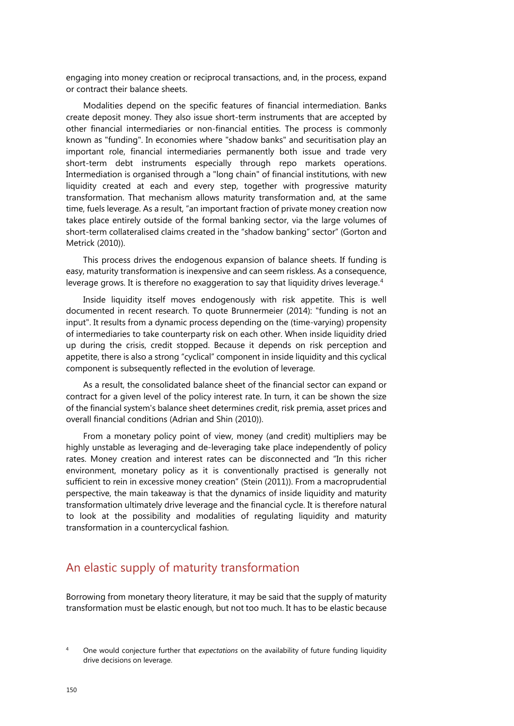engaging into money creation or reciprocal transactions, and, in the process, expand or contract their balance sheets.

Modalities depend on the specific features of financial intermediation. Banks create deposit money. They also issue short-term instruments that are accepted by other financial intermediaries or non-financial entities. The process is commonly known as "funding". In economies where "shadow banks" and securitisation play an important role, financial intermediaries permanently both issue and trade very short-term debt instruments especially through repo markets operations. Intermediation is organised through a "long chain" of financial institutions, with new liquidity created at each and every step, together with progressive maturity transformation. That mechanism allows maturity transformation and, at the same time, fuels leverage. As a result, "an important fraction of private money creation now takes place entirely outside of the formal banking sector, via the large volumes of short-term collateralised claims created in the "shadow banking" sector" (Gorton and Metrick (2010)).

This process drives the endogenous expansion of balance sheets. If funding is easy, maturity transformation is inexpensive and can seem riskless. As a consequence, leverage grows. It is therefore no exaggeration to say that liquidity drives leverage.<sup>[4](#page-3-0)</sup>

Inside liquidity itself moves endogenously with risk appetite. This is well documented in recent research. To quote Brunnermeier (2014): "funding is not an input". It results from a dynamic process depending on the (time-varying) propensity of intermediaries to take counterparty risk on each other. When inside liquidity dried up during the crisis, credit stopped. Because it depends on risk perception and appetite, there is also a strong "cyclical" component in inside liquidity and this cyclical component is subsequently reflected in the evolution of leverage.

As a result, the consolidated balance sheet of the financial sector can expand or contract for a given level of the policy interest rate. In turn, it can be shown the size of the financial system's balance sheet determines credit, risk premia, asset prices and overall financial conditions (Adrian and Shin (2010)).

From a monetary policy point of view, money (and credit) multipliers may be highly unstable as leveraging and de-leveraging take place independently of policy rates. Money creation and interest rates can be disconnected and "In this richer environment, monetary policy as it is conventionally practised is generally not sufficient to rein in excessive money creation" (Stein (2011)). From a macroprudential perspective, the main takeaway is that the dynamics of inside liquidity and maturity transformation ultimately drive leverage and the financial cycle. It is therefore natural to look at the possibility and modalities of regulating liquidity and maturity transformation in a countercyclical fashion.

# An elastic supply of maturity transformation

Borrowing from monetary theory literature, it may be said that the supply of maturity transformation must be elastic enough, but not too much. It has to be elastic because

<span id="page-3-0"></span><sup>4</sup> One would conjecture further that *expectations* on the availability of future funding liquidity drive decisions on leverage.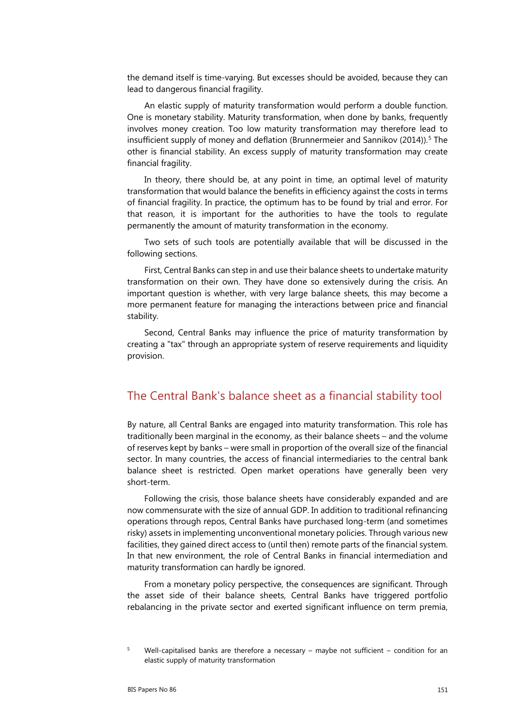the demand itself is time-varying. But excesses should be avoided, because they can lead to dangerous financial fragility.

An elastic supply of maturity transformation would perform a double function. One is monetary stability. Maturity transformation, when done by banks, frequently involves money creation. Too low maturity transformation may therefore lead to insufficient supply of money and deflation (Brunnermeier and Sannikov (2014)).<sup>[5](#page-4-0)</sup> The other is financial stability. An excess supply of maturity transformation may create financial fragility.

In theory, there should be, at any point in time, an optimal level of maturity transformation that would balance the benefits in efficiency against the costs in terms of financial fragility. In practice, the optimum has to be found by trial and error. For that reason, it is important for the authorities to have the tools to regulate permanently the amount of maturity transformation in the economy.

Two sets of such tools are potentially available that will be discussed in the following sections.

First, Central Banks can step in and use their balance sheets to undertake maturity transformation on their own. They have done so extensively during the crisis. An important question is whether, with very large balance sheets, this may become a more permanent feature for managing the interactions between price and financial stability.

Second, Central Banks may influence the price of maturity transformation by creating a "tax" through an appropriate system of reserve requirements and liquidity provision.

#### The Central Bank's balance sheet as a financial stability tool

By nature, all Central Banks are engaged into maturity transformation. This role has traditionally been marginal in the economy, as their balance sheets – and the volume of reserves kept by banks – were small in proportion of the overall size of the financial sector. In many countries, the access of financial intermediaries to the central bank balance sheet is restricted. Open market operations have generally been very short-term.

Following the crisis, those balance sheets have considerably expanded and are now commensurate with the size of annual GDP. In addition to traditional refinancing operations through repos, Central Banks have purchased long-term (and sometimes risky) assets in implementing unconventional monetary policies. Through various new facilities, they gained direct access to (until then) remote parts of the financial system. In that new environment, the role of Central Banks in financial intermediation and maturity transformation can hardly be ignored.

From a monetary policy perspective, the consequences are significant. Through the asset side of their balance sheets, Central Banks have triggered portfolio rebalancing in the private sector and exerted significant influence on term premia,

<span id="page-4-0"></span><sup>&</sup>lt;sup>5</sup> Well-capitalised banks are therefore a necessary – maybe not sufficient – condition for an elastic supply of maturity transformation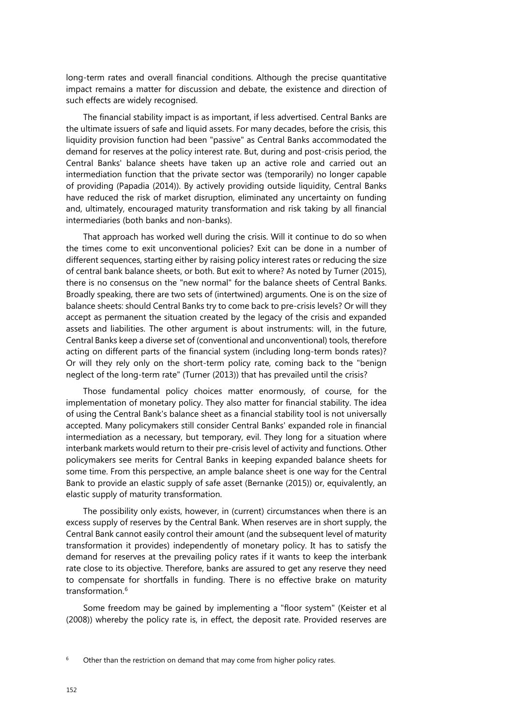long-term rates and overall financial conditions. Although the precise quantitative impact remains a matter for discussion and debate, the existence and direction of such effects are widely recognised.

The financial stability impact is as important, if less advertised. Central Banks are the ultimate issuers of safe and liquid assets. For many decades, before the crisis, this liquidity provision function had been "passive" as Central Banks accommodated the demand for reserves at the policy interest rate. But, during and post-crisis period, the Central Banks' balance sheets have taken up an active role and carried out an intermediation function that the private sector was (temporarily) no longer capable of providing (Papadia (2014)). By actively providing outside liquidity, Central Banks have reduced the risk of market disruption, eliminated any uncertainty on funding and, ultimately, encouraged maturity transformation and risk taking by all financial intermediaries (both banks and non-banks).

That approach has worked well during the crisis. Will it continue to do so when the times come to exit unconventional policies? Exit can be done in a number of different sequences, starting either by raising policy interest rates or reducing the size of central bank balance sheets, or both. But exit to where? As noted by Turner (2015), there is no consensus on the "new normal" for the balance sheets of Central Banks. Broadly speaking, there are two sets of (intertwined) arguments. One is on the size of balance sheets: should Central Banks try to come back to pre-crisis levels? Or will they accept as permanent the situation created by the legacy of the crisis and expanded assets and liabilities. The other argument is about instruments: will, in the future, Central Banks keep a diverse set of (conventional and unconventional) tools, therefore acting on different parts of the financial system (including long-term bonds rates)? Or will they rely only on the short-term policy rate, coming back to the "benign neglect of the long-term rate" (Turner (2013)) that has prevailed until the crisis?

Those fundamental policy choices matter enormously, of course, for the implementation of monetary policy. They also matter for financial stability. The idea of using the Central Bank's balance sheet as a financial stability tool is not universally accepted. Many policymakers still consider Central Banks' expanded role in financial intermediation as a necessary, but temporary, evil. They long for a situation where interbank markets would return to their pre-crisis level of activity and functions. Other policymakers see merits for Central Banks in keeping expanded balance sheets for some time. From this perspective, an ample balance sheet is one way for the Central Bank to provide an elastic supply of safe asset (Bernanke (2015)) or, equivalently, an elastic supply of maturity transformation.

The possibility only exists, however, in (current) circumstances when there is an excess supply of reserves by the Central Bank. When reserves are in short supply, the Central Bank cannot easily control their amount (and the subsequent level of maturity transformation it provides) independently of monetary policy. It has to satisfy the demand for reserves at the prevailing policy rates if it wants to keep the interbank rate close to its objective. Therefore, banks are assured to get any reserve they need to compensate for shortfalls in funding. There is no effective brake on maturity transformation.<sup>[6](#page-5-0)</sup>

Some freedom may be gained by implementing a "floor system" (Keister et al (2008)) whereby the policy rate is, in effect, the deposit rate. Provided reserves are

<span id="page-5-0"></span>Other than the restriction on demand that may come from higher policy rates.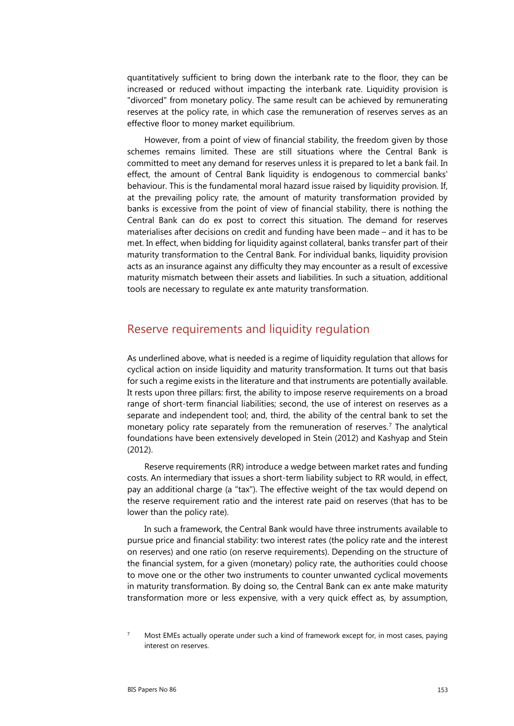quantitatively sufficient to bring down the interbank rate to the floor, they can be increased or reduced without impacting the interbank rate. Liquidity provision is "divorced" from monetary policy. The same result can be achieved by remunerating reserves at the policy rate, in which case the remuneration of reserves serves as an effective floor to money market equilibrium.

However, from a point of view of financial stability, the freedom given by those schemes remains limited. These are still situations where the Central Bank is committed to meet any demand for reserves unless it is prepared to let a bank fail. In effect, the amount of Central Bank liquidity is endogenous to commercial banks' behaviour. This is the fundamental moral hazard issue raised by liquidity provision. If, at the prevailing policy rate, the amount of maturity transformation provided by banks is excessive from the point of view of financial stability, there is nothing the Central Bank can do ex post to correct this situation. The demand for reserves materialises after decisions on credit and funding have been made – and it has to be met. In effect, when bidding for liquidity against collateral, banks transfer part of their maturity transformation to the Central Bank. For individual banks, liquidity provision acts as an insurance against any difficulty they may encounter as a result of excessive maturity mismatch between their assets and liabilities. In such a situation, additional tools are necessary to regulate ex ante maturity transformation.

#### Reserve requirements and liquidity regulation

As underlined above, what is needed is a regime of liquidity regulation that allows for cyclical action on inside liquidity and maturity transformation. It turns out that basis for such a regime exists in the literature and that instruments are potentially available. It rests upon three pillars: first, the ability to impose reserve requirements on a broad range of short-term financial liabilities; second, the use of interest on reserves as a separate and independent tool; and, third, the ability of the central bank to set the monetary policy rate separately from the remuneration of reserves.<sup>[7](#page-6-0)</sup> The analytical foundations have been extensively developed in Stein (2012) and Kashyap and Stein (2012).

Reserve requirements (RR) introduce a wedge between market rates and funding costs. An intermediary that issues a short-term liability subject to RR would, in effect, pay an additional charge (a "tax"). The effective weight of the tax would depend on the reserve requirement ratio and the interest rate paid on reserves (that has to be lower than the policy rate).

In such a framework, the Central Bank would have three instruments available to pursue price and financial stability: two interest rates (the policy rate and the interest on reserves) and one ratio (on reserve requirements). Depending on the structure of the financial system, for a given (monetary) policy rate, the authorities could choose to move one or the other two instruments to counter unwanted cyclical movements in maturity transformation. By doing so, the Central Bank can ex ante make maturity transformation more or less expensive, with a very quick effect as, by assumption,

<span id="page-6-0"></span>Most EMEs actually operate under such a kind of framework except for, in most cases, paying interest on reserves.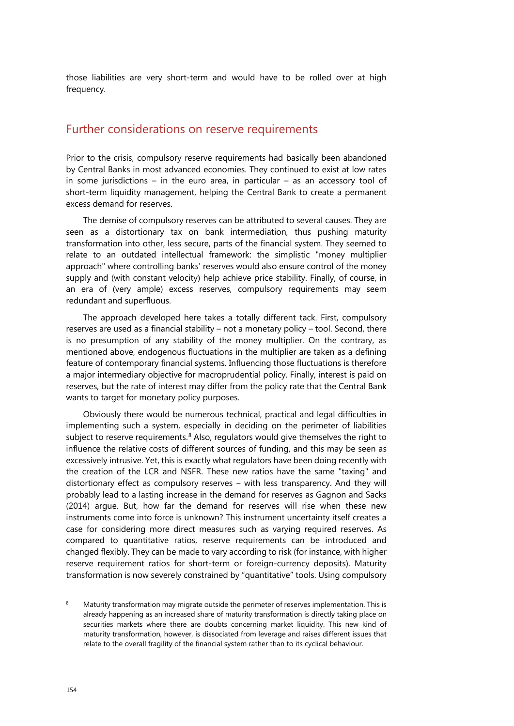those liabilities are very short-term and would have to be rolled over at high frequency.

#### Further considerations on reserve requirements

Prior to the crisis, compulsory reserve requirements had basically been abandoned by Central Banks in most advanced economies. They continued to exist at low rates in some jurisdictions – in the euro area, in particular – as an accessory tool of short-term liquidity management, helping the Central Bank to create a permanent excess demand for reserves.

The demise of compulsory reserves can be attributed to several causes. They are seen as a distortionary tax on bank intermediation, thus pushing maturity transformation into other, less secure, parts of the financial system. They seemed to relate to an outdated intellectual framework: the simplistic "money multiplier approach" where controlling banks' reserves would also ensure control of the money supply and (with constant velocity) help achieve price stability. Finally, of course, in an era of (very ample) excess reserves, compulsory requirements may seem redundant and superfluous.

The approach developed here takes a totally different tack. First, compulsory reserves are used as a financial stability – not a monetary policy – tool. Second, there is no presumption of any stability of the money multiplier. On the contrary, as mentioned above, endogenous fluctuations in the multiplier are taken as a defining feature of contemporary financial systems. Influencing those fluctuations is therefore a major intermediary objective for macroprudential policy. Finally, interest is paid on reserves, but the rate of interest may differ from the policy rate that the Central Bank wants to target for monetary policy purposes.

Obviously there would be numerous technical, practical and legal difficulties in implementing such a system, especially in deciding on the perimeter of liabilities subject to reserve requirements. $8$  Also, regulators would give themselves the right to influence the relative costs of different sources of funding, and this may be seen as excessively intrusive. Yet, this is exactly what regulators have been doing recently with the creation of the LCR and NSFR. These new ratios have the same "taxing" and distortionary effect as compulsory reserves – with less transparency. And they will probably lead to a lasting increase in the demand for reserves as Gagnon and Sacks (2014) argue. But, how far the demand for reserves will rise when these new instruments come into force is unknown? This instrument uncertainty itself creates a case for considering more direct measures such as varying required reserves. As compared to quantitative ratios, reserve requirements can be introduced and changed flexibly. They can be made to vary according to risk (for instance, with higher reserve requirement ratios for short-term or foreign-currency deposits). Maturity transformation is now severely constrained by "quantitative" tools. Using compulsory

<span id="page-7-0"></span>Maturity transformation may migrate outside the perimeter of reserves implementation. This is already happening as an increased share of maturity transformation is directly taking place on securities markets where there are doubts concerning market liquidity. This new kind of maturity transformation, however, is dissociated from leverage and raises different issues that relate to the overall fragility of the financial system rather than to its cyclical behaviour.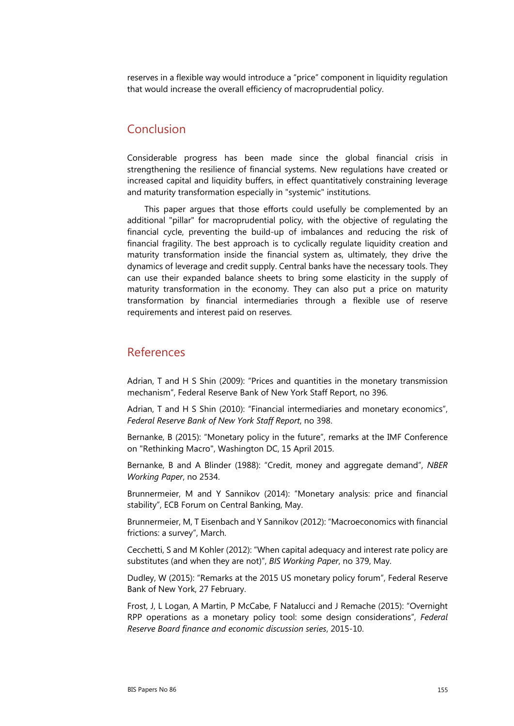reserves in a flexible way would introduce a "price" component in liquidity regulation that would increase the overall efficiency of macroprudential policy.

## Conclusion

Considerable progress has been made since the global financial crisis in strengthening the resilience of financial systems. New regulations have created or increased capital and liquidity buffers, in effect quantitatively constraining leverage and maturity transformation especially in "systemic" institutions.

This paper argues that those efforts could usefully be complemented by an additional "pillar" for macroprudential policy, with the objective of regulating the financial cycle, preventing the build-up of imbalances and reducing the risk of financial fragility. The best approach is to cyclically regulate liquidity creation and maturity transformation inside the financial system as, ultimately, they drive the dynamics of leverage and credit supply. Central banks have the necessary tools. They can use their expanded balance sheets to bring some elasticity in the supply of maturity transformation in the economy. They can also put a price on maturity transformation by financial intermediaries through a flexible use of reserve requirements and interest paid on reserves.

#### References

Adrian, T and H S Shin (2009): "Prices and quantities in the monetary transmission mechanism", Federal Reserve Bank of New York Staff Report, no 396.

Adrian, T and H S Shin (2010): "Financial intermediaries and monetary economics", *Federal Reserve Bank of New York Staff Report*, no 398.

Bernanke, B (2015): "Monetary policy in the future", remarks at the IMF Conference on "Rethinking Macro", Washington DC, 15 April 2015.

Bernanke, B and A Blinder (1988): "Credit, money and aggregate demand", *NBER Working Paper*, no 2534.

Brunnermeier, M and Y Sannikov (2014): "Monetary analysis: price and financial stability", ECB Forum on Central Banking, May.

Brunnermeier, M, T Eisenbach and Y Sannikov (2012): "Macroeconomics with financial frictions: a survey", March.

Cecchetti, S and M Kohler (2012): "When capital adequacy and interest rate policy are substitutes (and when they are not)", *BIS Working Paper*, no 379, May.

Dudley, W (2015): "Remarks at the 2015 US monetary policy forum", Federal Reserve Bank of New York, 27 February.

Frost, J, L Logan, A Martin, P McCabe, F Natalucci and J Remache (2015): "Overnight RPP operations as a monetary policy tool: some design considerations", *Federal Reserve Board finance and economic discussion series*, 2015-10.